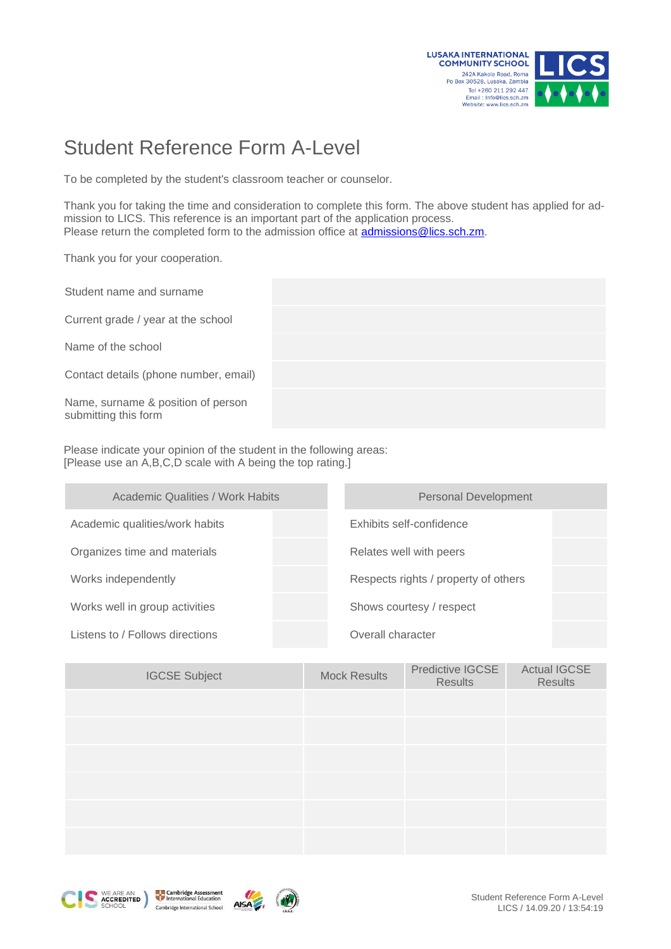

## Student Reference Form A-Level

To be completed by the student's classroom teacher or counselor.

Thank you for taking the time and consideration to complete this form. The above student has applied for admission to LICS. This reference is an important part of the application process. Please return the completed form to the admission office at [admissions@lics.sch.zm.](mailto:admissions@lics.sch.zm)

Thank you for your cooperation.

Student name and surname

Current grade / year at the school

Name of the school

Contact details (phone number, email)

Name, surname & position of person submitting this form

Please indicate your opinion of the student in the following areas: [Please use an A,B,C,D scale with A being the top rating.]

| <b>Academic Qualities / Work Habits</b> | <b>Personal Development</b>          |  |  |  |
|-----------------------------------------|--------------------------------------|--|--|--|
| Academic qualities/work habits          | Exhibits self-confidence             |  |  |  |
| Organizes time and materials            | Relates well with peers              |  |  |  |
| Works independently                     | Respects rights / property of others |  |  |  |
| Works well in group activities          | Shows courtesy / respect             |  |  |  |
| Listens to / Follows directions         | Overall character                    |  |  |  |

| <b>IGCSE Subject</b> | <b>Mock Results</b> | Predictive IGCSE<br>Results | <b>Actual IGCSE</b><br>Results |
|----------------------|---------------------|-----------------------------|--------------------------------|
|                      |                     |                             |                                |
|                      |                     |                             |                                |
|                      |                     |                             |                                |
|                      |                     |                             |                                |
|                      |                     |                             |                                |
|                      |                     |                             |                                |





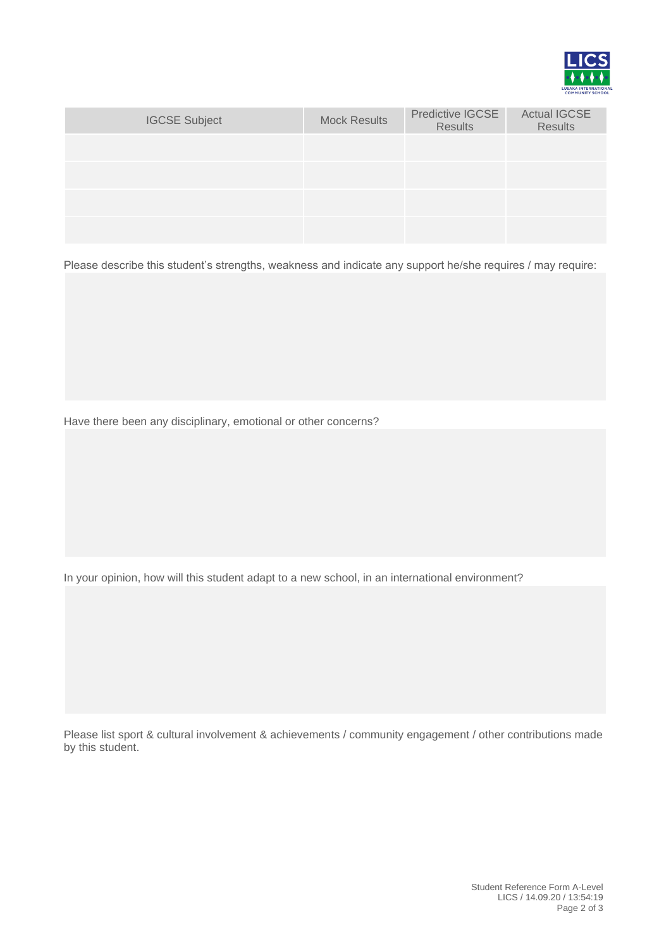

| <b>IGCSE Subject</b> | <b>Mock Results</b> | Predictive IGCSE<br><b>Results</b> | <b>Actual IGCSE</b><br><b>Results</b> |
|----------------------|---------------------|------------------------------------|---------------------------------------|
|                      |                     |                                    |                                       |
|                      |                     |                                    |                                       |
|                      |                     |                                    |                                       |
|                      |                     |                                    |                                       |

Please describe this student's strengths, weakness and indicate any support he/she requires / may require:

Have there been any disciplinary, emotional or other concerns?

In your opinion, how will this student adapt to a new school, in an international environment?

Please list sport & cultural involvement & achievements / community engagement / other contributions made by this student.